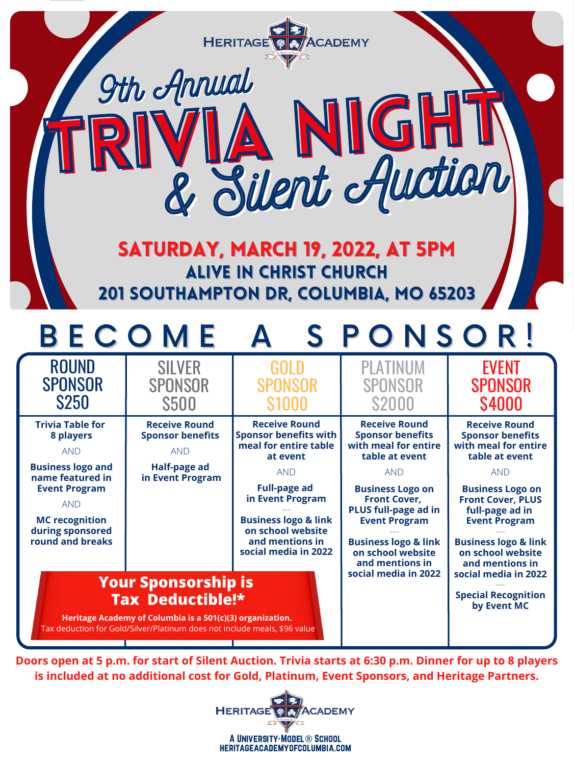A University-Model® School heritageacademyofcolumbia.com



| <b>S250</b>                                  | <b>\$500</b>                                                                                                                           |                                                      | <b>S2000</b>                                                            | <b>\$4000</b>                                                           |
|----------------------------------------------|----------------------------------------------------------------------------------------------------------------------------------------|------------------------------------------------------|-------------------------------------------------------------------------|-------------------------------------------------------------------------|
| <b>Trivia Table for</b><br>8 players         | <b>Receive Round</b><br><b>Sponsor benefits</b>                                                                                        | <b>Receive Round</b><br><b>Sponsor benefits with</b> | <b>Receive Round</b><br><b>Sponsor benefits</b>                         | <b>Receive Round</b><br><b>Sponsor benefits</b>                         |
| <b>AND</b>                                   | <b>AND</b>                                                                                                                             | meal for entire table<br>at event                    | with meal for entire<br>table at event                                  | with meal for entire<br>table at event                                  |
| <b>Business logo and</b><br>name featured in | <b>Half-page ad</b><br>in Event Program                                                                                                | <b>AND</b>                                           | <b>AND</b>                                                              | <b>AND</b>                                                              |
| <b>Event Program</b>                         |                                                                                                                                        | <b>Full-page ad</b><br>in Event Program              | <b>Business Logo on</b><br><b>Front Cover,</b>                          | <b>Business Logo on</b><br><b>Front Cover, PLUS</b>                     |
| AND                                          |                                                                                                                                        |                                                      | <b>PLUS full-page ad in</b>                                             | full-page ad in                                                         |
| <b>MC recognition</b><br>during sponsored    |                                                                                                                                        | <b>Business logo &amp; link</b><br>on school website | <b>Event Program</b>                                                    | <b>Event Program</b>                                                    |
| round and breaks                             |                                                                                                                                        | and mentions in<br>social media in 2022              | <b>Business logo &amp; link</b><br>on school website<br>and mentions in | <b>Business logo &amp; link</b><br>on school website<br>and mentions in |
|                                              | <b>Your Sponsorship is</b><br><b>Tax Deductible!*</b>                                                                                  | social media in 2022                                 | social media in 2022<br><b>Special Recognition</b><br>by Event MC       |                                                                         |
|                                              | Heritage Academy of Columbia is a 501(c)(3) organization.<br>Tax deduction for Gold/Silver/Platinum does not include meals, \$96 value |                                                      |                                                                         |                                                                         |

Doors open at 5 p.m. for start of Silent Auction. Trivia starts at 6:30 p.m. Dinner for up to 8 players **is included at no additional cost for Gold, Platinum, Event Sponsors, and Heritage Partners.**